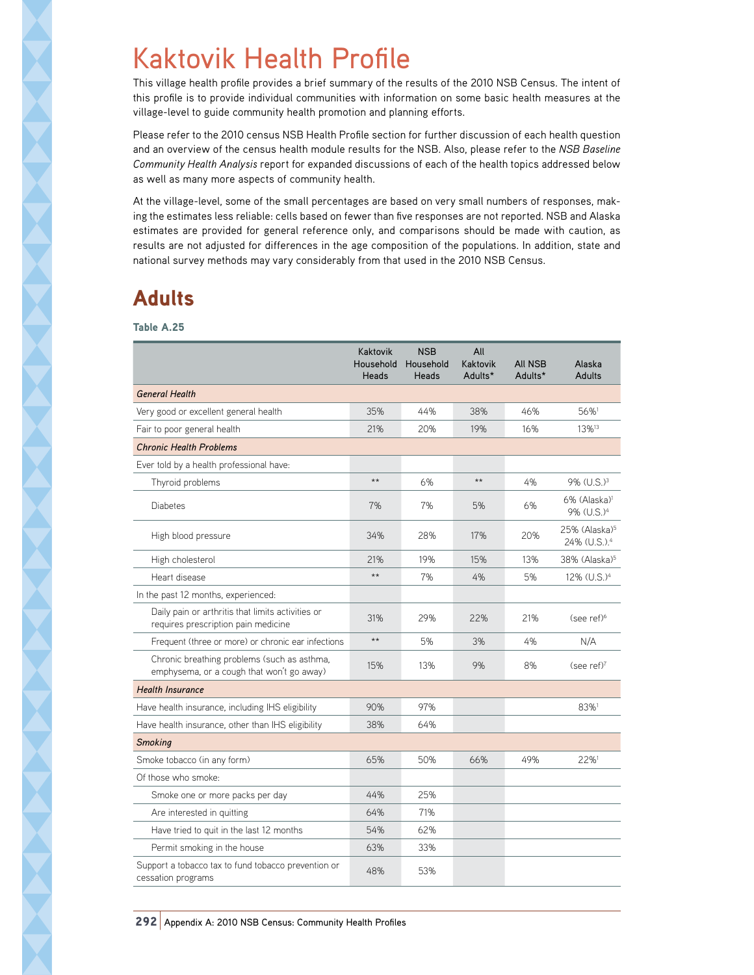## Kaktovik Health Profile

This village health profile provides a brief summary of the results of the 2010 NSB Census. The intent of this profile is to provide individual communities with information on some basic health measures at the village-level to guide community health promotion and planning efforts.

Please refer to the 2010 census NSB Health Profile section for further discussion of each health question and an overview of the census health module results for the NSB. Also, please refer to the *NSB Baseline Community Health Analysis* report for expanded discussions of each of the health topics addressed below as well as many more aspects of community health.

At the village-level, some of the small percentages are based on very small numbers of responses, making the estimates less reliable: cells based on fewer than five responses are not reported. NSB and Alaska estimates are provided for general reference only, and comparisons should be made with caution, as results are not adjusted for differences in the age composition of the populations. In addition, state and national survey methods may vary considerably from that used in the 2010 NSB Census.

## Adults

Table A.25

|                                                                                          | Kaktovik<br>Household<br>Heads | <b>NSB</b><br>Household<br>Heads | All<br>Kaktovik<br>Adults* | <b>All NSB</b><br>Adults* | Alaska<br>Adults                                         |
|------------------------------------------------------------------------------------------|--------------------------------|----------------------------------|----------------------------|---------------------------|----------------------------------------------------------|
| <b>General Health</b>                                                                    |                                |                                  |                            |                           |                                                          |
| Very good or excellent general health                                                    | 35%                            | 44%                              | 38%                        | 46%                       | 56%1                                                     |
| Fair to poor general health                                                              | 21%                            | 20%                              | 19%                        | 16%                       | 13% <sup>13</sup>                                        |
| <b>Chronic Health Problems</b>                                                           |                                |                                  |                            |                           |                                                          |
| Ever told by a health professional have:                                                 |                                |                                  |                            |                           |                                                          |
| Thyroid problems                                                                         | $\star\star$                   | 6%                               | $\star\star$               | 4%                        | 9% (U.S.) <sup>3</sup>                                   |
| <b>Diabetes</b>                                                                          | 7%                             | 7%                               | 5%                         | 6%                        | 6% (Alaska) <sup>1</sup><br>9% (U.S.) <sup>4</sup>       |
| High blood pressure                                                                      | 34%                            | 28%                              | 17%                        | 20%                       | $25\%$ (Alaska) <sup>5</sup><br>24% (U.S.). <sup>4</sup> |
| High cholesterol                                                                         | 21%                            | 19%                              | 15%                        | 13%                       | 38% (Alaska) <sup>5</sup>                                |
| Heart disease                                                                            | $**$                           | 7%                               | 4%                         | 5%                        | 12% (U.S.) <sup>4</sup>                                  |
| In the past 12 months, experienced:                                                      |                                |                                  |                            |                           |                                                          |
| Daily pain or arthritis that limits activities or<br>requires prescription pain medicine | 31%                            | 29%                              | 22%                        | 21%                       | (see ref) <sup>6</sup>                                   |
| Frequent (three or more) or chronic ear infections                                       | $\star\star$                   | 5%                               | 3%                         | 4%                        | N/A                                                      |
| Chronic breathing problems (such as asthma,<br>emphysema, or a cough that won't go away) | 15%                            | 13%                              | 9%                         | 8%                        | (see ref) <sup>7</sup>                                   |
| <b>Health Insurance</b>                                                                  |                                |                                  |                            |                           |                                                          |
| Have health insurance, including IHS eligibility                                         | 90%                            | 97%                              |                            |                           | 83%1                                                     |
| Have health insurance, other than IHS eligibility                                        | 38%                            | 64%                              |                            |                           |                                                          |
| <b>Smoking</b>                                                                           |                                |                                  |                            |                           |                                                          |
| Smoke tobacco (in any form)                                                              | 65%                            | 50%                              | 66%                        | 49%                       | 22%1                                                     |
| Of those who smoke:                                                                      |                                |                                  |                            |                           |                                                          |
| Smoke one or more packs per day                                                          | 44%                            | 25%                              |                            |                           |                                                          |
| Are interested in quitting                                                               | 64%                            | 71%                              |                            |                           |                                                          |
| Have tried to quit in the last 12 months                                                 | 54%                            | 62%                              |                            |                           |                                                          |
| Permit smoking in the house                                                              | 63%                            | 33%                              |                            |                           |                                                          |
| Support a tobacco tax to fund tobacco prevention or<br>cessation programs                | 48%                            | 53%                              |                            |                           |                                                          |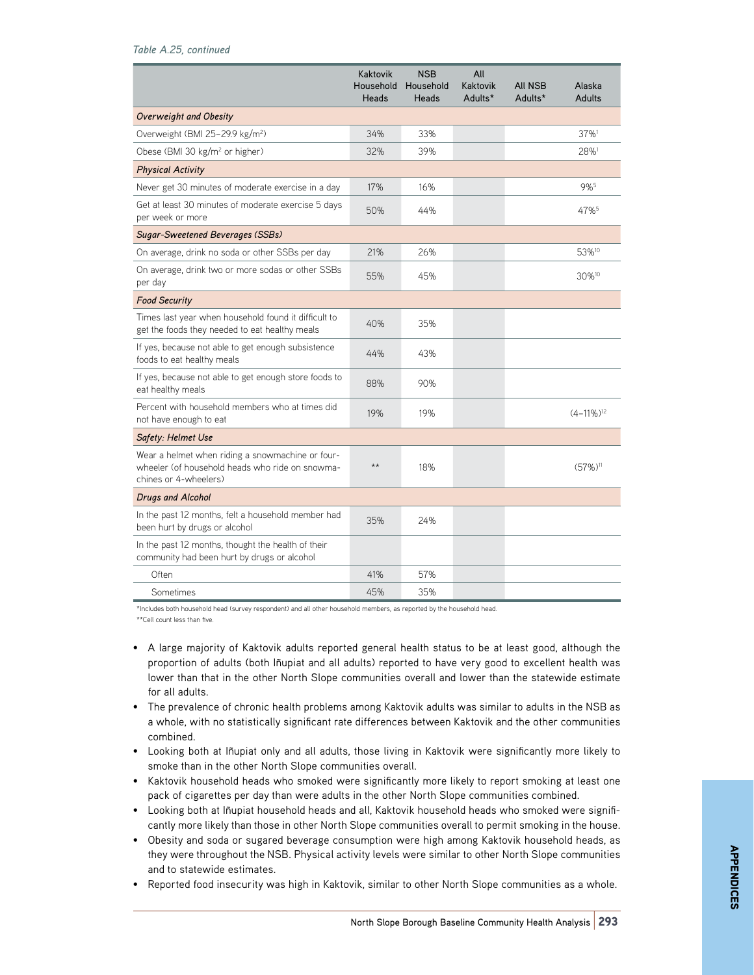|                                                                                                                              | Kaktovik<br>Household<br>Heads | <b>NSB</b><br>Household<br>Heads | All<br>Kaktovik<br>Adults* | <b>AII NSB</b><br>Adults* | Alaska<br>Adults         |
|------------------------------------------------------------------------------------------------------------------------------|--------------------------------|----------------------------------|----------------------------|---------------------------|--------------------------|
| Overweight and Obesity                                                                                                       |                                |                                  |                            |                           |                          |
| Overweight (BMI 25-29.9 kg/m <sup>2</sup> )                                                                                  | 34%                            | 33%                              |                            |                           | 37%1                     |
| Obese (BMI 30 kg/m <sup>2</sup> or higher)                                                                                   | 32%                            | 39%                              |                            |                           | 28%1                     |
| <b>Physical Activity</b>                                                                                                     |                                |                                  |                            |                           |                          |
| Never get 30 minutes of moderate exercise in a day                                                                           | 17%                            | 16%                              |                            |                           | 9%5                      |
| Get at least 30 minutes of moderate exercise 5 days<br>per week or more                                                      | 50%                            | 44%                              |                            |                           | 47%                      |
| Sugar-Sweetened Beverages (SSBs)                                                                                             |                                |                                  |                            |                           |                          |
| On average, drink no soda or other SSBs per day                                                                              | 21%                            | 26%                              |                            |                           | 53% <sup>10</sup>        |
| On average, drink two or more sodas or other SSBs<br>per day                                                                 | 55%                            | 45%                              |                            |                           | 30% <sup>10</sup>        |
| <b>Food Security</b>                                                                                                         |                                |                                  |                            |                           |                          |
| Times last year when household found it difficult to<br>get the foods they needed to eat healthy meals                       | 40%                            | 35%                              |                            |                           |                          |
| If yes, because not able to get enough subsistence<br>foods to eat healthy meals                                             | 44%                            | 43%                              |                            |                           |                          |
| If yes, because not able to get enough store foods to<br>eat healthy meals                                                   | 88%                            | 90%                              |                            |                           |                          |
| Percent with household members who at times did<br>not have enough to eat                                                    | 19%                            | 19%                              |                            |                           | $(4-11\%)$ <sup>12</sup> |
| Safety: Helmet Use                                                                                                           |                                |                                  |                            |                           |                          |
| Wear a helmet when riding a snowmachine or four-<br>wheeler (of household heads who ride on snowma-<br>chines or 4-wheelers) | $**$                           | 18%                              |                            |                           | $(57\%)$ <sup>11</sup>   |
| <b>Drugs and Alcohol</b>                                                                                                     |                                |                                  |                            |                           |                          |
| In the past 12 months, felt a household member had<br>been hurt by drugs or alcohol                                          | 35%                            | 24%                              |                            |                           |                          |
| In the past 12 months, thought the health of their<br>community had been hurt by drugs or alcohol                            |                                |                                  |                            |                           |                          |
| Often                                                                                                                        | 41%                            | 57%                              |                            |                           |                          |
| Sometimes                                                                                                                    | 45%                            | 35%                              |                            |                           |                          |

\*Includes both household head (survey respondent) and all other household members, as reported by the household head. \*\*Cell count less than five.

- A large majority of Kaktovik adults reported general health status to be at least good, although the proportion of adults (both Iñupiat and all adults) reported to have very good to excellent health was lower than that in the other North Slope communities overall and lower than the statewide estimate for all adults.
- The prevalence of chronic health problems among Kaktovik adults was similar to adults in the NSB as a whole, with no statistically significant rate differences between Kaktovik and the other communities combined.
- Looking both at Iñupiat only and all adults, those living in Kaktovik were significantly more likely to smoke than in the other North Slope communities overall.
- Kaktovik household heads who smoked were significantly more likely to report smoking at least one pack of cigarettes per day than were adults in the other North Slope communities combined.
- Looking both at Iñupiat household heads and all, Kaktovik household heads who smoked were significantly more likely than those in other North Slope communities overall to permit smoking in the house.
- Obesity and soda or sugared beverage consumption were high among Kaktovik household heads, as they were throughout the NSB. Physical activity levels were similar to other North Slope communities and to statewide estimates.
- Reported food insecurity was high in Kaktovik, similar to other North Slope communities as a whole.